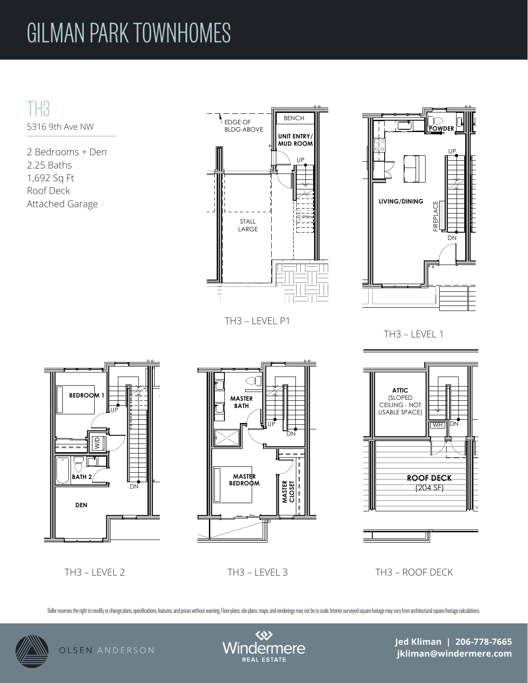## GILMAN PARK TOWNHOMES

TH3 5316 9th Ave NW

2 Bedrooms + Den 2.25 Baths 1,692 Sq Ft Roof Deck Attached Garage



TH3 – LEVEL P1



 $T_{\rm 1.5}$   $T_{\rm 2.5}$   $T_{\rm 2.5}$   $T_{\rm 2.5}$   $T_{\rm 2.5}$ TH3 – LEVEL 1



TH3 – LEVEL 2 TH3 – LEVEL 3 TH3 – ROOF DECK

Seller reserves the right to modify or change plans, specifications, features, and prices without warning. Floor-plans, site plans, maps, and renderings may not be to scale. Interior surveyed square footage may vary from a



OLSEN ANDERSON



**Jed Kliman | 206-778-7665 jkliman@windermere.com**